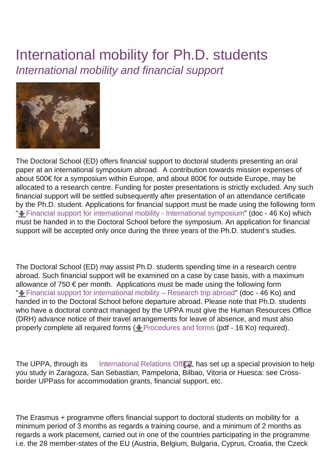## International mobility for Ph.D. students International mobility and financial support



The Doctoral School (ED) offers financial support to doctoral students presenting an oral paper at an international symposium abroad. A contribution towards mission expenses of about 500€ for a symposium within Europe, and about 800€ for outside Europe, may be allocated to a research centre. Funding for poster presentations is strictly excluded. Any such financial support will be settled subsequently after presentation of an attendance certificate by the Ph.D. student. Applications for financial support must be made using the following form " [Financial support for international mobility - International symposium](https://ed-sea.univ-pau.fr/_resources/Documents/Mobilit%25C3%25A9%2520internationale/139076_MAQUETTE-ED211Mobilit__IaleSubvColloque1412014.doc?download=true)" (doc - 46 Ko) which must be handed in to the Doctoral School before the symposium. An application for financial support will be accepted only once during the three years of the Ph.D. student's studies.

The Doctoral School (ED) may assist Ph.D. students spending time in a research centre abroad. Such financial support will be examined on a case by case basis, with a maximum allowance of 750  $\epsilon$  per month. Applications must be made using the following form " $\bigstar$  [Financial support for international mobility – Research trip abroad"](https://ed-sea.univ-pau.fr/_resources/Documents/Mobilit%25C3%25A9%2520internationale/139077_MAQUETTE-ED211Mobilit__IaleSubvSejour1412014.doc?download=true) (doc - 46 Ko) and handed in to the Doctoral School before departure abroad. Please note that Ph.D. students who have a doctoral contract managed by the UPPA must give the Human Resources Office (DRH) advance notice of their travel arrangements for leave of absence, and must also properly complete all required forms ( $\blacksquare$  [Procedures and forms](https://ed-sea.univ-pau.fr/_resources/Documents/Mobilit%25C3%25A9%2520internationale/133854_Formalit__s_pour_s__jour____l___tranger_du_doctorant.pdf?download=true) (pdf - 16 Ko) required).

The UPPA, through its [International Relations Office](http://ri.univ-pau.fr/fr/index.html), has set up a special provision to help you study in Zaragoza, San Sebastian, Pampelona, Bilbao, Vitoria or Huesca: see Crossborder UPPass for accommodation grants, financial support, etc.

The Erasmus + programme offers financial support to doctoral students on mobility for a minimum period of 3 months as regards a training course, and a minimum of 2 months as regards a work placement, carried out in one of the countries participating in the programme i.e. the 28 member-states of the EU (Austria, Belgium, Bulgaria, Cyprus, Croatia, the Czeck